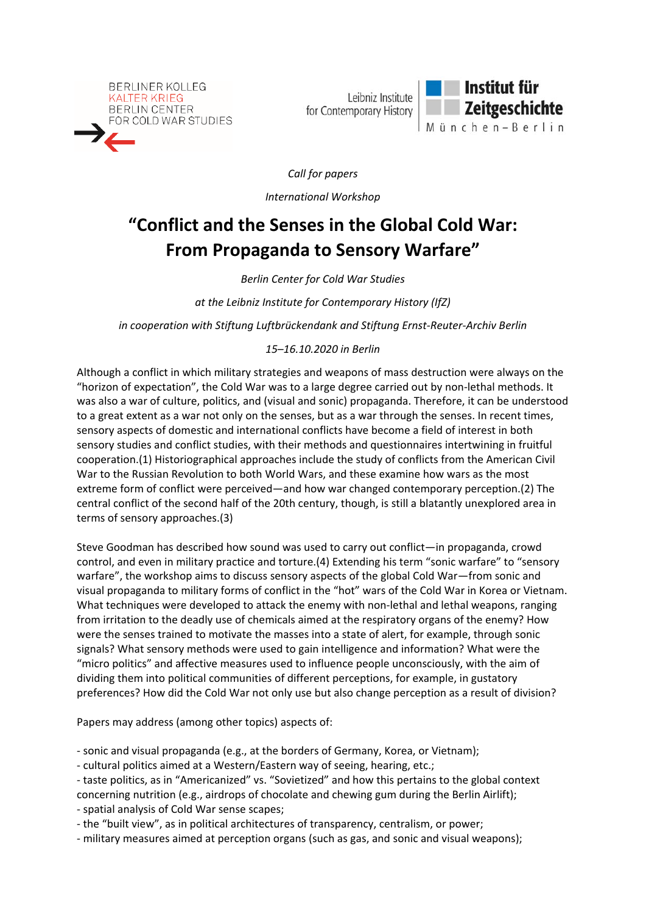

Leibniz Institute for Contemporary History



*Call for papers*

*International Workshop*

## **"Conflict and the Senses in the Global Cold War: From Propaganda to Sensory Warfare"**

*Berlin Center for Cold War Studies* 

*at the Leibniz Institute for Contemporary History (IfZ)*

*in cooperation with Stiftung Luftbrückendank and Stiftung Ernst‐Reuter‐Archiv Berlin*

## *15–16.10.2020 in Berlin*

Although a conflict in which military strategies and weapons of mass destruction were always on the "horizon of expectation", the Cold War was to a large degree carried out by non‐lethal methods. It was also a war of culture, politics, and (visual and sonic) propaganda. Therefore, it can be understood to a great extent as a war not only on the senses, but as a war through the senses. In recent times, sensory aspects of domestic and international conflicts have become a field of interest in both sensory studies and conflict studies, with their methods and questionnaires intertwining in fruitful cooperation.(1) Historiographical approaches include the study of conflicts from the American Civil War to the Russian Revolution to both World Wars, and these examine how wars as the most extreme form of conflict were perceived—and how war changed contemporary perception.(2) The central conflict of the second half of the 20th century, though, is still a blatantly unexplored area in terms of sensory approaches.(3)

Steve Goodman has described how sound was used to carry out conflict—in propaganda, crowd control, and even in military practice and torture.(4) Extending his term "sonic warfare" to "sensory warfare", the workshop aims to discuss sensory aspects of the global Cold War—from sonic and visual propaganda to military forms of conflict in the "hot" wars of the Cold War in Korea or Vietnam. What techniques were developed to attack the enemy with non-lethal and lethal weapons, ranging from irritation to the deadly use of chemicals aimed at the respiratory organs of the enemy? How were the senses trained to motivate the masses into a state of alert, for example, through sonic signals? What sensory methods were used to gain intelligence and information? What were the "micro politics" and affective measures used to influence people unconsciously, with the aim of dividing them into political communities of different perceptions, for example, in gustatory preferences? How did the Cold War not only use but also change perception as a result of division?

Papers may address (among other topics) aspects of:

‐ sonic and visual propaganda (e.g., at the borders of Germany, Korea, or Vietnam);

‐ cultural politics aimed at a Western/Eastern way of seeing, hearing, etc.;

‐ taste politics, as in "Americanized" vs. "Sovietized" and how this pertains to the global context concerning nutrition (e.g., airdrops of chocolate and chewing gum during the Berlin Airlift);

‐ spatial analysis of Cold War sense scapes;

‐ the "built view", as in political architectures of transparency, centralism, or power;

‐ military measures aimed at perception organs (such as gas, and sonic and visual weapons);